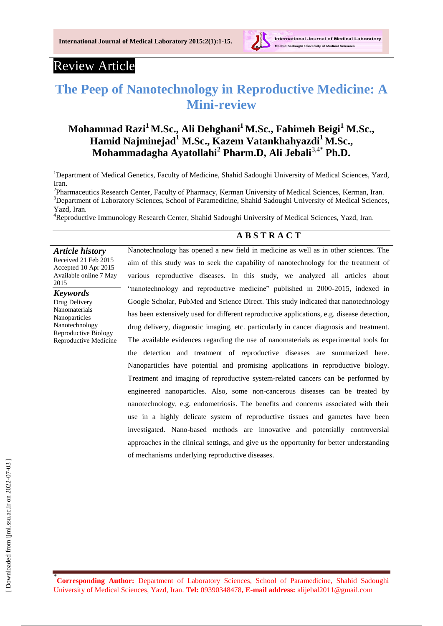

International Journal of Medical Laboratory

# Review Article

# **The Peep of Nanotechnology in Reproductive Medicine: A Mini-review**

## **Mohammad Razi<sup>1</sup>M.Sc., [Ali Dehghani](https://mail.google.com/mail/h/1ouvv5tt1bon4/?&th=14b00f896f528a5d&d=u&n=1&v=c&st=50#m_14b008e57768558d)<sup>1</sup>M.Sc., [Fahimeh Beigi](https://mail.google.com/mail/h/1ouvv5tt1bon4/?&th=14b39eb6e53a77fe&d=u&n=0&v=c#m_14b3988677dfa44a)<sup>1</sup> M.Sc., [Hamid Najminejad](https://mail.google.com/mail/h/1ouvv5tt1bon4/?&th=14b39ebac2e0e197&d=u&n=0&v=c#m_14b36e61a59326fb)<sup>1</sup> M.Sc., [Kazem Vatankhahyazdi](https://mail.google.com/mail/h/1ouvv5tt1bon4/?&th=14b39ec9520ef39d&d=u&n=0&v=c#m_14b36881a6448d4b)<sup>1</sup>M.Sc., Mohammadagha Ayatollahi<sup>2</sup> Pharm.D, Ali Jebali**3,4\*  **Ph.D.**

<sup>1</sup>Department of Medical Genetics, Faculty of Medicine, Shahid Sadoughi University of Medical Sciences, Yazd, Iran.

<sup>2</sup>Pharmaceutics Research Center, Faculty of Pharmacy, Kerman University of Medical Sciences, Kerman, Iran. <sup>3</sup>Department of Laboratory Sciences, School of Paramedicine, Shahid Sadoughi University of Medical Sciences, Yazd, Iran.

<sup>4</sup>Reproductive Immunology Research Center, Shahid Sadoughi University of Medical Sciences, Yazd, Iran.

## **A B S T R A C T**

*Article history* Received 21 Feb 2015 Accepted 10 Apr 2015 Available online 7 May 2015

*Keywords* Drug Delivery

Nanomaterials Nanoparticles Nanotechnology Reproductive Biology Reproductive Medicine Nanotechnology has opened a new field in medicine as well as in other sciences. The aim of this study was to seek the capability of nanotechnology for the treatment of various reproductive diseases. In this study, we analyzed all articles about "nanotechnology and reproductive medicine" published in 2000-2015, indexed in Google Scholar, PubMed and Science Direct. This study indicated that nanotechnology has been extensively used for different reproductive applications, e.g. disease detection, drug delivery, diagnostic imaging, etc. particularly in cancer diagnosis and treatment. The available evidences regarding the use of nanomaterials as experimental tools for the detection and treatment of reproductive diseases are summarized here. Nanoparticles have potential and promising applications in reproductive biology. Treatment and imaging of reproductive system-related cancers can be performed by engineered nanoparticles. Also, some non-cancerous diseases can be treated by nanotechnology, e.g. endometriosis. The benefits and concerns associated with their use in a highly delicate system of reproductive tissues and gametes have been investigated. Nano-based methods are innovative and potentially controversial approaches in the clinical settings, and give us the opportunity for better understanding of mechanisms underlying reproductive diseases.

\* **Corresponding Author:** Department of Laboratory Sciences, School of Paramedicine, Shahid Sadoughi University of Medical Sciences, Yazd, Iran. **Tel:** 09390348478**, E-mail address:** alijebal2011@gmail.com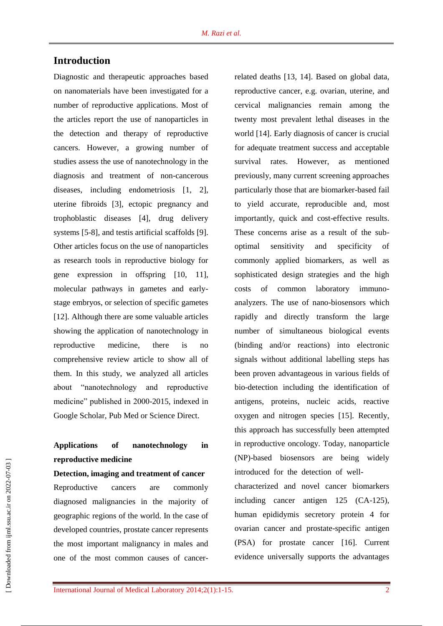## **Introduction**

Diagnostic and therapeutic approaches based on nanomaterials have been investigated for a number of reproductive applications. Most of the articles report the use of nanoparticles in the detection and therapy of reproductive cancers. However, a growing number of studies assess the use of nanotechnology in the diagnosis and treatment of non-cancerous diseases, including endometriosis [\[1,](../../AppData/AppData/user/AppData/Local/Temp/Temp1_amiiiiiiiiiiiiiiiiiiiiiiiiiiiiiiiiiiiiiiiiii.zip/revised,%20Mini-review.doc#_ENREF_1) [2\]](../../AppData/AppData/user/AppData/Local/Temp/Temp1_amiiiiiiiiiiiiiiiiiiiiiiiiiiiiiiiiiiiiiiiiii.zip/revised,%20Mini-review.doc#_ENREF_2), uterine fibroids [\[3\]](../../AppData/AppData/user/AppData/Local/Temp/Temp1_amiiiiiiiiiiiiiiiiiiiiiiiiiiiiiiiiiiiiiiiiii.zip/revised,%20Mini-review.doc#_ENREF_3), ectopic pregnancy and trophoblastic diseases [\[4\]](../../AppData/AppData/user/AppData/Local/Temp/Temp1_amiiiiiiiiiiiiiiiiiiiiiiiiiiiiiiiiiiiiiiiiii.zip/revised,%20Mini-review.doc#_ENREF_4), drug delivery systems [\[5-8\]](../../AppData/AppData/user/AppData/Local/Temp/Temp1_amiiiiiiiiiiiiiiiiiiiiiiiiiiiiiiiiiiiiiiiiii.zip/revised,%20Mini-review.doc#_ENREF_5), and testis artificial scaffolds [\[9\]](../../AppData/AppData/user/AppData/Local/Temp/Temp1_amiiiiiiiiiiiiiiiiiiiiiiiiiiiiiiiiiiiiiiiiii.zip/revised,%20Mini-review.doc#_ENREF_9). Other articles focus on the use of nanoparticles as research tools in reproductive biology for gene expression in offspring [\[10,](../../AppData/AppData/user/AppData/Local/Temp/Temp1_amiiiiiiiiiiiiiiiiiiiiiiiiiiiiiiiiiiiiiiiiii.zip/revised,%20Mini-review.doc#_ENREF_10) [11\]](../../AppData/AppData/user/AppData/Local/Temp/Temp1_amiiiiiiiiiiiiiiiiiiiiiiiiiiiiiiiiiiiiiiiiii.zip/revised,%20Mini-review.doc#_ENREF_11), molecular pathways in gametes and earlystage embryos, or selection of specific gametes [\[12\]](../../AppData/AppData/user/AppData/Local/Temp/Temp1_amiiiiiiiiiiiiiiiiiiiiiiiiiiiiiiiiiiiiiiiiii.zip/revised,%20Mini-review.doc#_ENREF_12). Although there are some valuable articles showing the application of nanotechnology in reproductive medicine, there is no comprehensive review article to show all of them. In this study, we analyzed all articles about "nanotechnology and reproductive medicine" published in 2000-2015, indexed in Google Scholar, Pub Med or Science Direct.

## **Applications of nanotechnology in reproductive medicine**

#### **Detection, imaging and treatment of cancer**

Reproductive cancers are commonly diagnosed malignancies in the majority of geographic regions of the world. In the case of developed countries, prostate cancer represents the most important malignancy in males and one of the most common causes of cancerrelated deaths [\[13,](../../AppData/AppData/user/AppData/Local/Temp/Temp1_amiiiiiiiiiiiiiiiiiiiiiiiiiiiiiiiiiiiiiiiiii.zip/revised,%20Mini-review.doc#_ENREF_13) [14\]](../../AppData/AppData/user/AppData/Local/Temp/Temp1_amiiiiiiiiiiiiiiiiiiiiiiiiiiiiiiiiiiiiiiiiii.zip/revised,%20Mini-review.doc#_ENREF_14). Based on global data, reproductive cancer, e.g. ovarian, uterine, and cervical malignancies remain among the twenty most prevalent lethal diseases in the world [\[14\]](../../AppData/AppData/user/AppData/Local/Temp/Temp1_amiiiiiiiiiiiiiiiiiiiiiiiiiiiiiiiiiiiiiiiiii.zip/revised,%20Mini-review.doc#_ENREF_14). Early diagnosis of cancer is crucial for adequate treatment success and acceptable survival rates. However, as mentioned previously, many current screening approaches particularly those that are biomarker-based fail to yield accurate, reproducible and, most importantly, quick and cost-effective results. These concerns arise as a result of the suboptimal sensitivity and specificity of commonly applied biomarkers, as well as sophisticated design strategies and the high costs of common laboratory immunoanalyzers. The use of nano-biosensors which rapidly and directly transform the large number of simultaneous biological events (binding and/or reactions) into electronic signals without additional labelling steps has been proven advantageous in various fields of bio-detection including the identification of antigens, proteins, nucleic acids, reactive oxygen and nitrogen species [\[15\]](../../AppData/AppData/user/AppData/Local/Temp/Temp1_amiiiiiiiiiiiiiiiiiiiiiiiiiiiiiiiiiiiiiiiiii.zip/revised,%20Mini-review.doc#_ENREF_15). Recently, this approach has successfully been attempted in reproductive oncology. Today, nanoparticle (NP)-based biosensors are being widely introduced for the detection of well-

characterized and novel cancer biomarkers including cancer antigen 125 (CA-125), human epididymis secretory protein 4 for ovarian cancer and prostate-specific antigen (PSA) for prostate cancer [\[16\]](../../AppData/AppData/user/AppData/Local/Temp/Temp1_amiiiiiiiiiiiiiiiiiiiiiiiiiiiiiiiiiiiiiiiiii.zip/revised,%20Mini-review.doc#_ENREF_16). Current evidence universally supports the advantages

 [\[ Downloaded from ijml.ssu.ac.ir on 2022-](https://ijml.ssu.ac.ir/article-1-39-en.html)07-03 ] Downloaded from ijml.ssu.ac.ir on 2022-07-03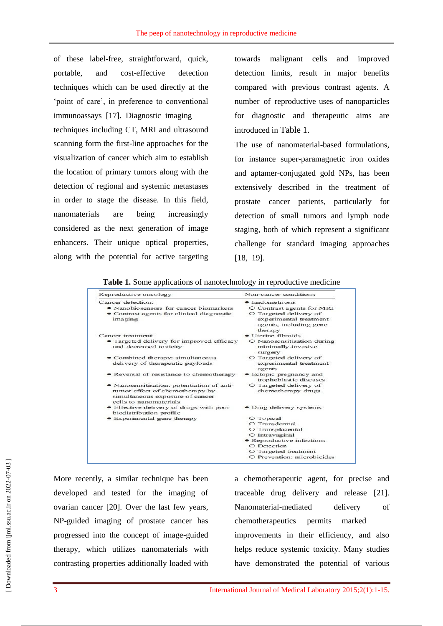of these label-free, straightforward, quick, portable, and cost-effective detection techniques which can be used directly at the 'point of care', in preference to conventional immunoassays [\[17\]](../../AppData/AppData/user/AppData/Local/Temp/Temp1_amiiiiiiiiiiiiiiiiiiiiiiiiiiiiiiiiiiiiiiiiii.zip/revised,%20Mini-review.doc#_ENREF_17). Diagnostic imaging techniques including CT, MRI and ultrasound scanning form the first-line approaches for the visualization of cancer which aim to establish the location of primary tumors along with the detection of regional and systemic metastases in order to stage the disease. In this field, nanomaterials are being increasingly considered as the next generation of image enhancers. Their unique optical properties, along with the potential for active targeting towards malignant cells and improved detection limits, result in major benefits compared with previous contrast agents. A number of reproductive uses of nanoparticles for diagnostic and therapeutic aims are introduced in Table 1.

The use of nanomaterial-based formulations, for instance super-paramagnetic iron oxides and aptamer-conjugated gold NPs, has been extensively described in the treatment of prostate cancer patients, particularly for detection of small tumors and lymph node staging, both of which represent a significant challenge for standard imaging approaches [\[18,](../../AppData/AppData/user/AppData/Local/Temp/Temp1_amiiiiiiiiiiiiiiiiiiiiiiiiiiiiiiiiiiiiiiiiii.zip/revised,%20Mini-review.doc#_ENREF_18) [19\]](../../AppData/AppData/user/AppData/Local/Temp/Temp1_amiiiiiiiiiiiiiiiiiiiiiiiiiiiiiiiiiiiiiiiiii.zip/revised,%20Mini-review.doc#_ENREF_19).

**Table 1.** Some applications of nanotechnology in reproductive medicine

| Reproductive oncology                                                                                                                      | Non-cancer conditions                                                                                                              |
|--------------------------------------------------------------------------------------------------------------------------------------------|------------------------------------------------------------------------------------------------------------------------------------|
| Cancer detection:<br>• Nanobiosensors for cancer biomarkers<br>• Contrast agents for clinical diagnostic<br>imaging                        | $\bullet$ Endometriosis<br>O Contrast agents for MRI<br>O Targeted delivery of<br>experimental treatment<br>agents, including gene |
|                                                                                                                                            | therapy                                                                                                                            |
| Cancer treatment:<br>• Targeted delivery for improved efficacy<br>and decreased toxicity                                                   | • Uterine fibroids<br>O Nanosensitisation during<br>minimally-invasive<br>surgery                                                  |
| • Combined therapy: simultaneous<br>delivery of therapeutic payloads                                                                       | O Targeted delivery of<br>experimental treatment<br>agents                                                                         |
| • Reversal of resistance to chemotherapy                                                                                                   | • Ectopic pregnancy and<br>trophoblastic diseases                                                                                  |
| · Nanosensitisation: potentiation of anti-<br>tumor effect of chemotherapy by<br>simultaneous exposure of cancer<br>cells to nanomaterials | O Targeted delivery of<br>chemotherapy drugs                                                                                       |
| • Effective delivery of drugs with poor<br>biodistribution profile                                                                         | • Drug delivery systems                                                                                                            |
| • Experimental gene therapy                                                                                                                | O Topical                                                                                                                          |
|                                                                                                                                            | O Transdermal                                                                                                                      |
|                                                                                                                                            | O Transplacental                                                                                                                   |
|                                                                                                                                            | $O$ Intravaginal                                                                                                                   |
|                                                                                                                                            | • Reproductive infections                                                                                                          |
|                                                                                                                                            | O Detection                                                                                                                        |
|                                                                                                                                            | $\circ$ Targeted treatment                                                                                                         |
|                                                                                                                                            | O Prevention: microbicides                                                                                                         |

More recently, a similar technique has been developed and tested for the imaging of ovarian cancer [\[20\]](../../AppData/AppData/user/AppData/Local/Temp/Temp1_amiiiiiiiiiiiiiiiiiiiiiiiiiiiiiiiiiiiiiiiiii.zip/revised,%20Mini-review.doc#_ENREF_20). Over the last few years, NP-guided imaging of prostate cancer has progressed into the concept of image-guided therapy, which utilizes nanomaterials with contrasting properties additionally loaded with a chemotherapeutic agent, for precise and traceable drug delivery and release [\[21\]](../../AppData/AppData/user/AppData/Local/Temp/Temp1_amiiiiiiiiiiiiiiiiiiiiiiiiiiiiiiiiiiiiiiiiii.zip/revised,%20Mini-review.doc#_ENREF_21). Nanomaterial-mediated delivery of chemotherapeutics permits marked improvements in their efficiency, and also helps reduce systemic toxicity. Many studies have demonstrated the potential of various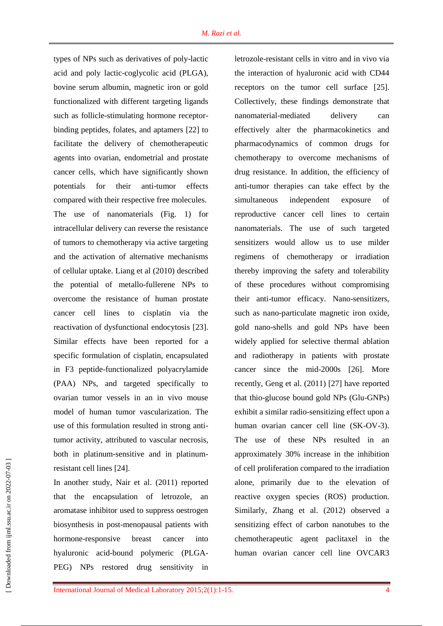types of NPs such as derivatives of poly-lactic acid and poly lactic-coglycolic acid (PLGA), bovine serum albumin, magnetic iron or gold functionalized with different targeting ligands such as follicle-stimulating hormone receptorbinding peptides, folates, and aptamers [\[22\]](../../AppData/AppData/user/AppData/Local/Temp/Temp1_amiiiiiiiiiiiiiiiiiiiiiiiiiiiiiiiiiiiiiiiiii.zip/revised,%20Mini-review.doc#_ENREF_22) to facilitate the delivery of chemotherapeutic agents into ovarian, endometrial and prostate cancer cells, which have significantly shown potentials for their anti-tumor effects compared with their respective free molecules. The use of nanomaterials (Fig. 1) for intracellular delivery can reverse the resistance of tumors to chemotherapy via active targeting and the activation of alternative mechanisms of cellular uptake. Liang et al (2010) described the potential of metallo-fullerene NPs to overcome the resistance of human prostate cancer cell lines to cisplatin via the reactivation of dysfunctional endocytosis [\[23\]](../../AppData/AppData/user/AppData/Local/Temp/Temp1_amiiiiiiiiiiiiiiiiiiiiiiiiiiiiiiiiiiiiiiiiii.zip/revised,%20Mini-review.doc#_ENREF_23). Similar effects have been reported for a specific formulation of cisplatin, encapsulated in F3 peptide-functionalized polyacrylamide (PAA) NPs, and targeted specifically to ovarian tumor vessels in an in vivo mouse model of human tumor vascularization. The use of this formulation resulted in strong antitumor activity, attributed to vascular necrosis, both in platinum-sensitive and in platinumresistant cell lines [\[24\]](../../AppData/AppData/user/AppData/Local/Temp/Temp1_amiiiiiiiiiiiiiiiiiiiiiiiiiiiiiiiiiiiiiiiiii.zip/revised,%20Mini-review.doc#_ENREF_24).

In another study, Nair et al. (2011) reported that the encapsulation of letrozole, an aromatase inhibitor used to suppress oestrogen biosynthesis in post-menopausal patients with hormone-responsive breast cancer into hyaluronic acid-bound polymeric (PLGA-PEG) NPs restored drug sensitivity in letrozole-resistant cells in vitro and in vivo via the interaction of hyaluronic acid with CD44 receptors on the tumor cell surface [\[25\]](../../AppData/AppData/user/AppData/Local/Temp/Temp1_amiiiiiiiiiiiiiiiiiiiiiiiiiiiiiiiiiiiiiiiiii.zip/revised,%20Mini-review.doc#_ENREF_25). Collectively, these findings demonstrate that nanomaterial-mediated delivery can effectively alter the pharmacokinetics and pharmacodynamics of common drugs for chemotherapy to overcome mechanisms of drug resistance. In addition, the efficiency of anti-tumor therapies can take effect by the simultaneous independent exposure of reproductive cancer cell lines to certain nanomaterials. The use of such targeted sensitizers would allow us to use milder regimens of chemotherapy or irradiation thereby improving the safety and tolerability of these procedures without compromising their anti-tumor efficacy. Nano-sensitizers, such as nano-particulate magnetic iron oxide, gold nano-shells and gold NPs have been widely applied for selective thermal ablation and radiotherapy in patients with prostate cancer since the mid-2000s [\[26\]](../../AppData/AppData/user/AppData/Local/Temp/Temp1_amiiiiiiiiiiiiiiiiiiiiiiiiiiiiiiiiiiiiiiiiii.zip/revised,%20Mini-review.doc#_ENREF_26). More recently, Geng et al. (2011) [\[27\]](../../AppData/AppData/user/AppData/Local/Temp/Temp1_amiiiiiiiiiiiiiiiiiiiiiiiiiiiiiiiiiiiiiiiiii.zip/revised,%20Mini-review.doc#_ENREF_27) have reported that thio-glucose bound gold NPs (Glu-GNPs) exhibit a similar radio-sensitizing effect upon a human ovarian cancer cell line (SK-OV-3). The use of these NPs resulted in an approximately 30% increase in the inhibition of cell proliferation compared to the irradiation alone, primarily due to the elevation of reactive oxygen species (ROS) production. Similarly, Zhang et al. (2012) observed a sensitizing effect of carbon nanotubes to the chemotherapeutic agent paclitaxel in the human ovarian cancer cell line OVCAR3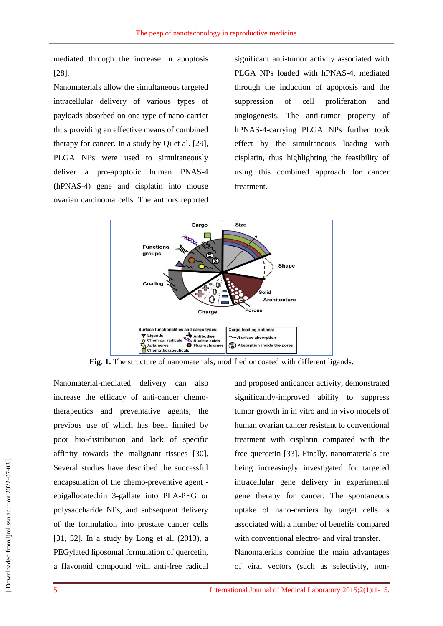mediated through the increase in apoptosis [\[28\]](../../AppData/AppData/user/AppData/Local/Temp/Temp1_amiiiiiiiiiiiiiiiiiiiiiiiiiiiiiiiiiiiiiiiiii.zip/revised,%20Mini-review.doc#_ENREF_28).

Nanomaterials allow the simultaneous targeted intracellular delivery of various types of payloads absorbed on one type of nano-carrier thus providing an effective means of combined therapy for cancer. In a study by Qi et al. [\[29\]](../../AppData/AppData/user/AppData/Local/Temp/Temp1_amiiiiiiiiiiiiiiiiiiiiiiiiiiiiiiiiiiiiiiiiii.zip/revised,%20Mini-review.doc#_ENREF_29), PLGA NPs were used to simultaneously deliver a pro-apoptotic human PNAS-4 (hPNAS-4) gene and cisplatin into mouse ovarian carcinoma cells. The authors reported

significant anti-tumor activity associated with PLGA NPs loaded with hPNAS-4, mediated through the induction of apoptosis and the suppression of cell proliferation and angiogenesis. The anti-tumor property of hPNAS-4-carrying PLGA NPs further took effect by the simultaneous loading with cisplatin, thus highlighting the feasibility of using this combined approach for cancer treatment.



**Fig. 1.** The structure of nanomaterials, modified or coated with different ligands.

Nanomaterial-mediated delivery can also increase the efficacy of anti-cancer chemotherapeutics and preventative agents, the previous use of which has been limited by poor bio-distribution and lack of specific affinity towards the malignant tissues [\[30\]](../../AppData/AppData/user/AppData/Local/Temp/Temp1_amiiiiiiiiiiiiiiiiiiiiiiiiiiiiiiiiiiiiiiiiii.zip/revised,%20Mini-review.doc#_ENREF_30). Several studies have described the successful encapsulation of the chemo-preventive agent epigallocatechin 3-gallate into PLA-PEG or polysaccharide NPs, and subsequent delivery of the formulation into prostate cancer cells [\[31,](../../AppData/AppData/user/AppData/Local/Temp/Temp1_amiiiiiiiiiiiiiiiiiiiiiiiiiiiiiiiiiiiiiiiiii.zip/revised,%20Mini-review.doc#_ENREF_31) [32\]](../../AppData/AppData/user/AppData/Local/Temp/Temp1_amiiiiiiiiiiiiiiiiiiiiiiiiiiiiiiiiiiiiiiiiii.zip/revised,%20Mini-review.doc#_ENREF_32). In a study by Long et al. (2013), a PEGylated liposomal formulation of quercetin, a flavonoid compound with anti-free radical and proposed anticancer activity, demonstrated significantly-improved ability to suppress tumor growth in in vitro and in vivo models of human ovarian cancer resistant to conventional treatment with cisplatin compared with the free quercetin [\[33\]](../../AppData/AppData/user/AppData/Local/Temp/Temp1_amiiiiiiiiiiiiiiiiiiiiiiiiiiiiiiiiiiiiiiiiii.zip/revised,%20Mini-review.doc#_ENREF_33). Finally, nanomaterials are being increasingly investigated for targeted intracellular gene delivery in experimental gene therapy for cancer. The spontaneous uptake of nano-carriers by target cells is associated with a number of benefits compared with conventional electro- and viral transfer. Nanomaterials combine the main advantages of viral vectors (such as selectivity, non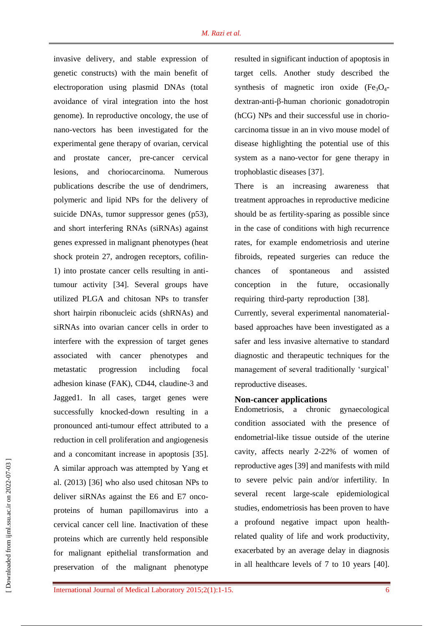invasive delivery, and stable expression of genetic constructs) with the main benefit of electroporation using plasmid DNAs (total avoidance of viral integration into the host genome). In reproductive oncology, the use of nano-vectors has been investigated for the experimental gene therapy of ovarian, cervical and prostate cancer, pre-cancer cervical lesions, and choriocarcinoma. Numerous publications describe the use of dendrimers, polymeric and lipid NPs for the delivery of suicide DNAs, tumor suppressor genes (p53), and short interfering RNAs (siRNAs) against genes expressed in malignant phenotypes (heat shock protein 27, androgen receptors, cofilin-1) into prostate cancer cells resulting in antitumour activity [\[34\]](../../AppData/AppData/user/AppData/Local/Temp/Temp1_amiiiiiiiiiiiiiiiiiiiiiiiiiiiiiiiiiiiiiiiiii.zip/revised,%20Mini-review.doc#_ENREF_34). Several groups have utilized PLGA and chitosan NPs to transfer short hairpin ribonucleic acids (shRNAs) and siRNAs into ovarian cancer cells in order to interfere with the expression of target genes associated with cancer phenotypes and metastatic progression including focal adhesion kinase (FAK), CD44, claudine-3 and Jagged1. In all cases, target genes were successfully knocked-down resulting in a pronounced anti-tumour effect attributed to a reduction in cell proliferation and angiogenesis and a concomitant increase in apoptosis [\[35\]](../../AppData/AppData/user/AppData/Local/Temp/Temp1_amiiiiiiiiiiiiiiiiiiiiiiiiiiiiiiiiiiiiiiiiii.zip/revised,%20Mini-review.doc#_ENREF_35). A similar approach was attempted by Yang et al. (2013) [\[36\]](../../AppData/AppData/user/AppData/Local/Temp/Temp1_amiiiiiiiiiiiiiiiiiiiiiiiiiiiiiiiiiiiiiiiiii.zip/revised,%20Mini-review.doc#_ENREF_36) who also used chitosan NPs to deliver siRNAs against the E6 and E7 oncoproteins of human papillomavirus into a cervical cancer cell line. Inactivation of these proteins which are currently held responsible for malignant epithelial transformation and preservation of the malignant phenotype

resulted in significant induction of apoptosis in target cells. Another study described the synthesis of magnetic iron oxide  $(Fe<sub>3</sub>O<sub>4</sub>$ dextran-anti-β-human chorionic gonadotropin (hCG) NPs and their successful use in choriocarcinoma tissue in an in vivo mouse model of disease highlighting the potential use of this system as a nano-vector for gene therapy in trophoblastic diseases [\[37\]](../../AppData/AppData/user/AppData/Local/Temp/Temp1_amiiiiiiiiiiiiiiiiiiiiiiiiiiiiiiiiiiiiiiiiii.zip/revised,%20Mini-review.doc#_ENREF_37).

There is an increasing awareness that treatment approaches in reproductive medicine should be as fertility-sparing as possible since in the case of conditions with high recurrence rates, for example endometriosis and uterine fibroids, repeated surgeries can reduce the chances of spontaneous and assisted conception in the future, occasionally requiring third-party reproduction [\[38\]](../../AppData/AppData/user/AppData/Local/Temp/Temp1_amiiiiiiiiiiiiiiiiiiiiiiiiiiiiiiiiiiiiiiiiii.zip/revised,%20Mini-review.doc#_ENREF_38).

Currently, several experimental nanomaterialbased approaches have been investigated as a safer and less invasive alternative to standard diagnostic and therapeutic techniques for the management of several traditionally 'surgical' reproductive diseases.

#### **Non-cancer applications**

Endometriosis, a chronic gynaecological condition associated with the presence of endometrial-like tissue outside of the uterine cavity, affects nearly 2-22% of women of reproductive ages [\[39\]](../../AppData/AppData/user/AppData/Local/Temp/Temp1_amiiiiiiiiiiiiiiiiiiiiiiiiiiiiiiiiiiiiiiiiii.zip/revised,%20Mini-review.doc#_ENREF_39) and manifests with mild to severe pelvic pain and/or infertility. In several recent large-scale epidemiological studies, endometriosis has been proven to have a profound negative impact upon healthrelated quality of life and work productivity, exacerbated by an average delay in diagnosis in all healthcare levels of 7 to 10 years [\[40\]](../../AppData/AppData/user/AppData/Local/Temp/Temp1_amiiiiiiiiiiiiiiiiiiiiiiiiiiiiiiiiiiiiiiiiii.zip/revised,%20Mini-review.doc#_ENREF_40).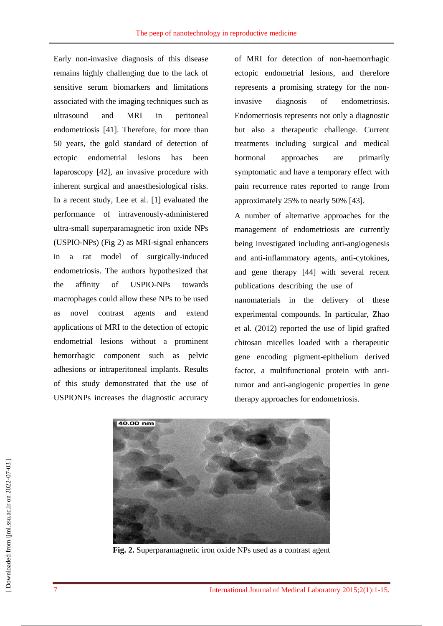Early non-invasive diagnosis of this disease remains highly challenging due to the lack of sensitive serum biomarkers and limitations associated with the imaging techniques such as ultrasound and MRI in peritoneal endometriosis [\[41\]](../../AppData/AppData/user/AppData/Local/Temp/Temp1_amiiiiiiiiiiiiiiiiiiiiiiiiiiiiiiiiiiiiiiiiii.zip/revised,%20Mini-review.doc#_ENREF_41). Therefore, for more than 50 years, the gold standard of detection of ectopic endometrial lesions has been laparoscopy [\[42\]](../../AppData/AppData/user/AppData/Local/Temp/Temp1_amiiiiiiiiiiiiiiiiiiiiiiiiiiiiiiiiiiiiiiiiii.zip/revised,%20Mini-review.doc#_ENREF_42), an invasive procedure with inherent surgical and anaesthesiological risks. In a recent study, Lee et al. [\[1\]](../../AppData/AppData/user/AppData/Local/Temp/Temp1_amiiiiiiiiiiiiiiiiiiiiiiiiiiiiiiiiiiiiiiiiii.zip/revised,%20Mini-review.doc#_ENREF_1) evaluated the performance of intravenously-administered ultra-small superparamagnetic iron oxide NPs (USPIO-NPs) (Fig 2) as MRI-signal enhancers in a rat model of surgically-induced endometriosis. The authors hypothesized that the affinity of USPIO-NPs towards macrophages could allow these NPs to be used as novel contrast agents and extend applications of MRI to the detection of ectopic endometrial lesions without a prominent hemorrhagic component such as pelvic adhesions or intraperitoneal implants. Results of this study demonstrated that the use of USPIONPs increases the diagnostic accuracy

of MRI for detection of non-haemorrhagic ectopic endometrial lesions, and therefore represents a promising strategy for the noninvasive diagnosis of endometriosis. Endometriosis represents not only a diagnostic but also a therapeutic challenge. Current treatments including surgical and medical hormonal approaches are primarily symptomatic and have a temporary effect with pain recurrence rates reported to range from approximately 25% to nearly 50% [\[43\]](../../AppData/AppData/user/AppData/Local/Temp/Temp1_amiiiiiiiiiiiiiiiiiiiiiiiiiiiiiiiiiiiiiiiiii.zip/revised,%20Mini-review.doc#_ENREF_43).

A number of alternative approaches for the management of endometriosis are currently being investigated including anti-angiogenesis and anti-inflammatory agents, anti-cytokines, and gene therapy [\[44\]](../../AppData/AppData/user/AppData/Local/Temp/Temp1_amiiiiiiiiiiiiiiiiiiiiiiiiiiiiiiiiiiiiiiiiii.zip/revised,%20Mini-review.doc#_ENREF_44) with several recent publications describing the use of nanomaterials in the delivery of these experimental compounds. In particular, Zhao et al. (2012) reported the use of lipid grafted chitosan micelles loaded with a therapeutic gene encoding pigment-epithelium derived factor, a multifunctional protein with antitumor and anti-angiogenic properties in gene therapy approaches for endometriosis.



**Fig. 2.** Superparamagnetic iron oxide NPs used as a contrast agent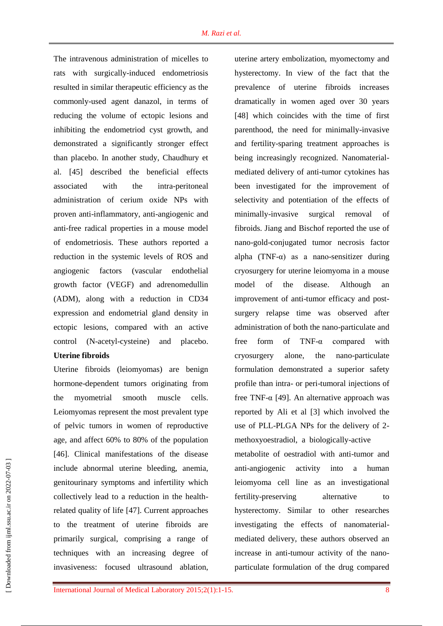The intravenous administration of micelles to rats with surgically-induced endometriosis resulted in similar therapeutic efficiency as the commonly-used agent danazol, in terms of reducing the volume of ectopic lesions and inhibiting the endometriod cyst growth, and demonstrated a significantly stronger effect than placebo. In another study, Chaudhury et al. [\[45\]](../../AppData/AppData/user/AppData/Local/Temp/Temp1_amiiiiiiiiiiiiiiiiiiiiiiiiiiiiiiiiiiiiiiiiii.zip/revised,%20Mini-review.doc#_ENREF_45) described the beneficial effects associated with the intra-peritoneal administration of cerium oxide NPs with proven anti-inflammatory, anti-angiogenic and anti-free radical properties in a mouse model of endometriosis. These authors reported a reduction in the systemic levels of ROS and angiogenic factors (vascular endothelial growth factor (VEGF) and adrenomedullin (ADM), along with a reduction in CD34 expression and endometrial gland density in ectopic lesions, compared with an active control (N-acetyl-cysteine) and placebo.

### **Uterine fibroids**

Uterine fibroids (leiomyomas) are benign hormone-dependent tumors originating from the myometrial smooth muscle cells. Leiomyomas represent the most prevalent type of pelvic tumors in women of reproductive age, and affect 60% to 80% of the population [\[46\]](../../AppData/AppData/user/AppData/Local/Temp/Temp1_amiiiiiiiiiiiiiiiiiiiiiiiiiiiiiiiiiiiiiiiiii.zip/revised,%20Mini-review.doc#_ENREF_46). Clinical manifestations of the disease include abnormal uterine bleeding, anemia, genitourinary symptoms and infertility which collectively lead to a reduction in the healthrelated quality of life [\[47\]](../../AppData/AppData/user/AppData/Local/Temp/Temp1_amiiiiiiiiiiiiiiiiiiiiiiiiiiiiiiiiiiiiiiiiii.zip/revised,%20Mini-review.doc#_ENREF_47). Current approaches to the treatment of uterine fibroids are primarily surgical, comprising a range of techniques with an increasing degree of invasiveness: focused ultrasound ablation, uterine artery embolization, myomectomy and hysterectomy. In view of the fact that the prevalence of uterine fibroids increases dramatically in women aged over 30 years [\[48\]](../../AppData/AppData/user/AppData/Local/Temp/Temp1_amiiiiiiiiiiiiiiiiiiiiiiiiiiiiiiiiiiiiiiiiii.zip/revised,%20Mini-review.doc#_ENREF_48) which coincides with the time of first parenthood, the need for minimally-invasive and fertility-sparing treatment approaches is being increasingly recognized. Nanomaterialmediated delivery of anti-tumor cytokines has been investigated for the improvement of selectivity and potentiation of the effects of minimally-invasive surgical removal of fibroids. Jiang and Bischof reported the use of nano-gold-conjugated tumor necrosis factor alpha  $(TNF-\alpha)$  as a nano-sensitizer during cryosurgery for uterine leiomyoma in a mouse model of the disease. Although an improvement of anti-tumor efficacy and postsurgery relapse time was observed after administration of both the nano-particulate and free form of TNF-α compared with cryosurgery alone, the nano-particulate formulation demonstrated a superior safety profile than intra- or peri-tumoral injections of free TNF-α [\[49\]](../../AppData/AppData/user/AppData/Local/Temp/Temp1_amiiiiiiiiiiiiiiiiiiiiiiiiiiiiiiiiiiiiiiiiii.zip/revised,%20Mini-review.doc#_ENREF_49). An alternative approach was reported by Ali et al [\[3\]](../../AppData/AppData/user/AppData/Local/Temp/Temp1_amiiiiiiiiiiiiiiiiiiiiiiiiiiiiiiiiiiiiiiiiii.zip/revised,%20Mini-review.doc#_ENREF_3) which involved the use of PLL-PLGA NPs for the delivery of 2 methoxyoestradiol, a biologically-active metabolite of oestradiol with anti-tumor and anti-angiogenic activity into a human leiomyoma cell line as an investigational fertility-preserving alternative to hysterectomy. Similar to other researches investigating the effects of nanomaterialmediated delivery, these authors observed an increase in anti-tumour activity of the nanoparticulate formulation of the drug compared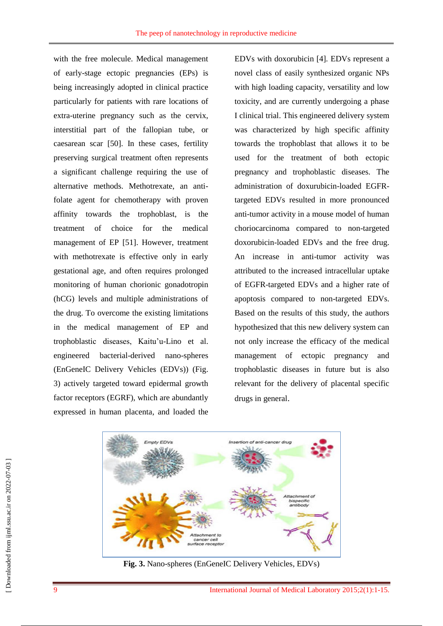with the free molecule. Medical management of early-stage ectopic pregnancies (EPs) is being increasingly adopted in clinical practice particularly for patients with rare locations of extra-uterine pregnancy such as the cervix, interstitial part of the fallopian tube, or caesarean scar [\[50\]](../../AppData/AppData/user/AppData/Local/Temp/Temp1_amiiiiiiiiiiiiiiiiiiiiiiiiiiiiiiiiiiiiiiiiii.zip/revised,%20Mini-review.doc#_ENREF_50). In these cases, fertility preserving surgical treatment often represents a significant challenge requiring the use of alternative methods. Methotrexate, an antifolate agent for chemotherapy with proven affinity towards the trophoblast, is the treatment of choice for the medical management of EP [\[51\]](../../AppData/AppData/user/AppData/Local/Temp/Temp1_amiiiiiiiiiiiiiiiiiiiiiiiiiiiiiiiiiiiiiiiiii.zip/revised,%20Mini-review.doc#_ENREF_51). However, treatment with methotrexate is effective only in early gestational age, and often requires prolonged monitoring of human chorionic gonadotropin (hCG) levels and multiple administrations of the drug. To overcome the existing limitations in the medical management of EP and trophoblastic diseases, Kaitu'u-Lino et al. engineered bacterial-derived nano-spheres (EnGeneIC Delivery Vehicles (EDVs)) (Fig. 3) actively targeted toward epidermal growth factor receptors (EGRF), which are abundantly expressed in human placenta, and loaded the EDVs with doxorubicin [4]. EDVs represent a novel class of easily synthesized organic NPs with high loading capacity, versatility and low toxicity, and are currently undergoing a phase I clinical trial. This engineered delivery system was characterized by high specific affinity towards the trophoblast that allows it to be used for the treatment of both ectopic pregnancy and trophoblastic diseases. The administration of doxurubicin-loaded EGFRtargeted EDVs resulted in more pronounced anti-tumor activity in a mouse model of human choriocarcinoma compared to non-targeted doxorubicin-loaded EDVs and the free drug. An increase in anti-tumor activity was attributed to the increased intracellular uptake of EGFR-targeted EDVs and a higher rate of apoptosis compared to non-targeted EDVs. Based on the results of this study, the authors hypothesized that this new delivery system can not only increase the efficacy of the medical management of ectopic pregnancy and trophoblastic diseases in future but is also relevant for the delivery of placental specific drugs in general.



**Fig. 3.** Nano-spheres (EnGeneIC Delivery Vehicles, EDVs)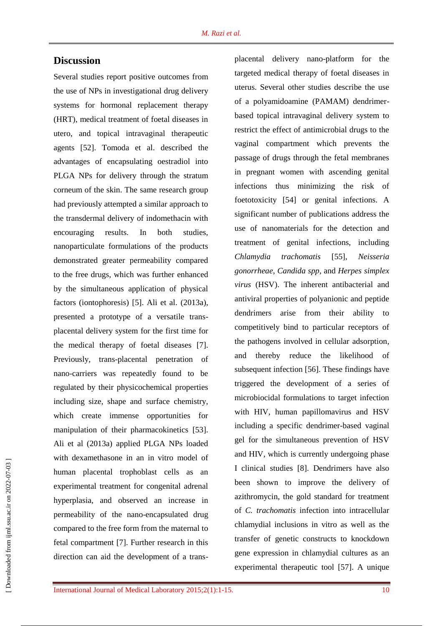## **Discussion**

Several studies report positive outcomes from the use of NPs in investigational drug delivery systems for hormonal replacement therapy (HRT), medical treatment of foetal diseases in utero, and topical intravaginal therapeutic agents [\[52\]](../../AppData/AppData/user/AppData/Local/Temp/Temp1_amiiiiiiiiiiiiiiiiiiiiiiiiiiiiiiiiiiiiiiiiii.zip/revised,%20Mini-review.doc#_ENREF_52). Tomoda et al. described the advantages of encapsulating oestradiol into PLGA NPs for delivery through the stratum corneum of the skin. The same research group had previously attempted a similar approach to the transdermal delivery of indomethacin with encouraging results. In both studies, nanoparticulate formulations of the products demonstrated greater permeability compared to the free drugs, which was further enhanced by the simultaneous application of physical factors (iontophoresis) [5]. Ali et al. (2013a), presented a prototype of a versatile transplacental delivery system for the first time for the medical therapy of foetal diseases [\[7\]](../../AppData/AppData/user/AppData/Local/Temp/Temp1_amiiiiiiiiiiiiiiiiiiiiiiiiiiiiiiiiiiiiiiiiii.zip/revised,%20Mini-review.doc#_ENREF_7). Previously, trans-placental penetration of nano-carriers was repeatedly found to be regulated by their physicochemical properties including size, shape and surface chemistry, which create immense opportunities for manipulation of their pharmacokinetics [\[53\]](../../AppData/AppData/user/AppData/Local/Temp/Temp1_amiiiiiiiiiiiiiiiiiiiiiiiiiiiiiiiiiiiiiiiiii.zip/revised,%20Mini-review.doc#_ENREF_53). Ali et al (2013a) applied PLGA NPs loaded with dexamethasone in an in vitro model of human placental trophoblast cells as an experimental treatment for congenital adrenal hyperplasia, and observed an increase in permeability of the nano-encapsulated drug compared to the free form from the maternal to fetal compartment [7]. Further research in this direction can aid the development of a transplacental delivery nano-platform for the targeted medical therapy of foetal diseases in uterus. Several other studies describe the use of a polyamidoamine (PAMAM) dendrimerbased topical intravaginal delivery system to restrict the effect of antimicrobial drugs to the vaginal compartment which prevents the passage of drugs through the fetal membranes in pregnant women with ascending genital infections thus minimizing the risk of foetotoxicity [\[54\]](../../AppData/AppData/user/AppData/Local/Temp/Temp1_amiiiiiiiiiiiiiiiiiiiiiiiiiiiiiiiiiiiiiiiiii.zip/revised,%20Mini-review.doc#_ENREF_54) or genital infections. A significant number of publications address the use of nanomaterials for the detection and treatment of genital infections, including *Chlamydia trachomatis* [\[55\]](../../AppData/AppData/user/AppData/Local/Temp/Temp1_amiiiiiiiiiiiiiiiiiiiiiiiiiiiiiiiiiiiiiiiiii.zip/revised,%20Mini-review.doc#_ENREF_55), *Neisseria gonorrheae*, *Candida spp*, and *Herpes simplex virus* (HSV). The inherent antibacterial and antiviral properties of polyanionic and peptide dendrimers arise from their ability to competitively bind to particular receptors of the pathogens involved in cellular adsorption, and thereby reduce the likelihood of subsequent infection [\[56\]](../../AppData/AppData/user/AppData/Local/Temp/Temp1_amiiiiiiiiiiiiiiiiiiiiiiiiiiiiiiiiiiiiiiiiii.zip/revised,%20Mini-review.doc#_ENREF_56). These findings have triggered the development of a series of microbiocidal formulations to target infection with HIV, human papillomavirus and HSV including a specific dendrimer-based vaginal gel for the simultaneous prevention of HSV and HIV, which is currently undergoing phase I clinical studies [\[8\]](../../AppData/AppData/user/AppData/Local/Temp/Temp1_amiiiiiiiiiiiiiiiiiiiiiiiiiiiiiiiiiiiiiiiiii.zip/revised,%20Mini-review.doc#_ENREF_8). Dendrimers have also been shown to improve the delivery of azithromycin, the gold standard for treatment of *C. trachomatis* infection into intracellular chlamydial inclusions in vitro as well as the transfer of genetic constructs to knockdown gene expression in chlamydial cultures as an experimental therapeutic tool [\[57\]](../../AppData/AppData/user/AppData/Local/Temp/Temp1_amiiiiiiiiiiiiiiiiiiiiiiiiiiiiiiiiiiiiiiiiii.zip/revised,%20Mini-review.doc#_ENREF_57). A unique

 [\[ Downloaded from ijml.ssu.ac.ir on 2022-](https://ijml.ssu.ac.ir/article-1-39-en.html)07-03 ] Downloaded from ijml.ssu.ac.ir on 2022-07-03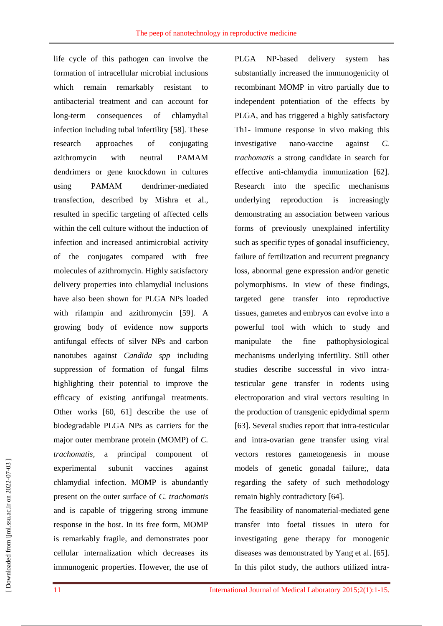life cycle of this pathogen can involve the formation of intracellular microbial inclusions which remain remarkably resistant to antibacterial treatment and can account for long-term consequences of chlamydial infection including tubal infertility [\[58\]](../../AppData/AppData/user/AppData/Local/Temp/Temp1_amiiiiiiiiiiiiiiiiiiiiiiiiiiiiiiiiiiiiiiiiii.zip/revised,%20Mini-review.doc#_ENREF_58). These research approaches of conjugating azithromycin with neutral PAMAM dendrimers or gene knockdown in cultures using PAMAM dendrimer-mediated transfection, described by Mishra et al., resulted in specific targeting of affected cells within the cell culture without the induction of infection and increased antimicrobial activity of the conjugates compared with free molecules of azithromycin. Highly satisfactory delivery properties into chlamydial inclusions have also been shown for PLGA NPs loaded with rifampin and azithromycin [\[59\]](../../AppData/AppData/user/AppData/Local/Temp/Temp1_amiiiiiiiiiiiiiiiiiiiiiiiiiiiiiiiiiiiiiiiiii.zip/revised,%20Mini-review.doc#_ENREF_59). A growing body of evidence now supports antifungal effects of silver NPs and carbon nanotubes against *Candida spp* including suppression of formation of fungal films highlighting their potential to improve the efficacy of existing antifungal treatments. Other works [\[60,](../../AppData/AppData/user/AppData/Local/Temp/Temp1_amiiiiiiiiiiiiiiiiiiiiiiiiiiiiiiiiiiiiiiiiii.zip/revised,%20Mini-review.doc#_ENREF_60) [61\]](../../AppData/AppData/user/AppData/Local/Temp/Temp1_amiiiiiiiiiiiiiiiiiiiiiiiiiiiiiiiiiiiiiiiiii.zip/revised,%20Mini-review.doc#_ENREF_61) describe the use of biodegradable PLGA NPs as carriers for the major outer membrane protein (MOMP) of *C. trachomatis*, a principal component of experimental subunit vaccines against chlamydial infection. MOMP is abundantly present on the outer surface of *C. trachomatis* and is capable of triggering strong immune response in the host. In its free form, MOMP is remarkably fragile, and demonstrates poor cellular internalization which decreases its immunogenic properties. However, the use of PLGA NP-based delivery system has substantially increased the immunogenicity of recombinant MOMP in vitro partially due to independent potentiation of the effects by PLGA, and has triggered a highly satisfactory Th1- immune response in vivo making this investigative nano-vaccine against *C. trachomatis* a strong candidate in search for effective anti-chlamydia immunization [\[62\]](../../AppData/AppData/user/AppData/Local/Temp/Temp1_amiiiiiiiiiiiiiiiiiiiiiiiiiiiiiiiiiiiiiiiiii.zip/revised,%20Mini-review.doc#_ENREF_62). Research into the specific mechanisms underlying reproduction is increasingly demonstrating an association between various forms of previously unexplained infertility such as specific types of gonadal insufficiency, failure of fertilization and recurrent pregnancy loss, abnormal gene expression and/or genetic polymorphisms. In view of these findings, targeted gene transfer into reproductive tissues, gametes and embryos can evolve into a powerful tool with which to study and manipulate the fine pathophysiological mechanisms underlying infertility. Still other studies describe successful in vivo intratesticular gene transfer in rodents using electroporation and viral vectors resulting in the production of transgenic epidydimal sperm [\[63\]](../../AppData/AppData/user/AppData/Local/Temp/Temp1_amiiiiiiiiiiiiiiiiiiiiiiiiiiiiiiiiiiiiiiiiii.zip/revised,%20Mini-review.doc#_ENREF_63). Several studies report that intra-testicular and intra-ovarian gene transfer using viral vectors restores gametogenesis in mouse models of genetic gonadal failure;, data regarding the safety of such methodology remain highly contradictory [\[64\]](../../AppData/AppData/user/AppData/Local/Temp/Temp1_amiiiiiiiiiiiiiiiiiiiiiiiiiiiiiiiiiiiiiiiiii.zip/revised,%20Mini-review.doc#_ENREF_64).

The feasibility of nanomaterial-mediated gene transfer into foetal tissues in utero for investigating gene therapy for monogenic diseases was demonstrated by Yang et al. [\[65\]](../../AppData/AppData/user/AppData/Local/Temp/Temp1_amiiiiiiiiiiiiiiiiiiiiiiiiiiiiiiiiiiiiiiiiii.zip/revised,%20Mini-review.doc#_ENREF_65). In this pilot study, the authors utilized intra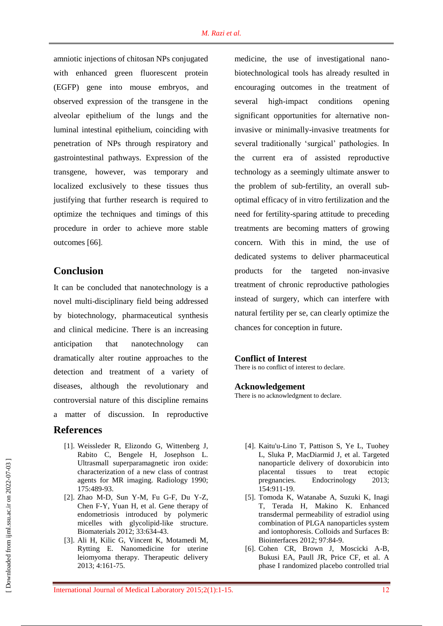amniotic injections of chitosan NPs conjugated with enhanced green fluorescent protein (EGFP) gene into mouse embryos, and observed expression of the transgene in the alveolar epithelium of the lungs and the luminal intestinal epithelium, coinciding with penetration of NPs through respiratory and gastrointestinal pathways. Expression of the transgene, however, was temporary and localized exclusively to these tissues thus justifying that further research is required to optimize the techniques and timings of this procedure in order to achieve more stable outcomes [\[66\]](../../AppData/AppData/user/AppData/Local/Temp/Temp1_amiiiiiiiiiiiiiiiiiiiiiiiiiiiiiiiiiiiiiiiiii.zip/revised,%20Mini-review.doc#_ENREF_66).

## **Conclusion**

It can be concluded that nanotechnology is a novel multi-disciplinary field being addressed by biotechnology, pharmaceutical synthesis and clinical medicine. There is an increasing anticipation that nanotechnology can dramatically alter routine approaches to the detection and treatment of a variety of diseases, although the revolutionary and controversial nature of this discipline remains a matter of discussion. In reproductive

## **References**

- [1]. Weissleder R, Elizondo G, Wittenberg J, Rabito C, Bengele H, Josephson L. Ultrasmall superparamagnetic iron oxide: characterization of a new class of contrast agents for MR imaging. Radiology 1990; 175:489-93.
- [2]. Zhao M-D, Sun Y-M, Fu G-F, Du Y-Z, Chen F-Y, Yuan H, et al. Gene therapy of endometriosis introduced by polymeric micelles with glycolipid-like structure. Biomaterials 2012; 33:634-43.
- [3]. Ali H, Kilic G, Vincent K, Motamedi M, Rytting E. Nanomedicine for uterine leiomyoma therapy. Therapeutic delivery 2013; 4:161-75.

medicine, the use of investigational nanobiotechnological tools has already resulted in encouraging outcomes in the treatment of several high-impact conditions opening significant opportunities for alternative noninvasive or minimally-invasive treatments for several traditionally 'surgical' pathologies. In the current era of assisted reproductive technology as a seemingly ultimate answer to the problem of sub-fertility, an overall suboptimal efficacy of in vitro fertilization and the need for fertility-sparing attitude to preceding treatments are becoming matters of growing concern. With this in mind, the use of dedicated systems to deliver pharmaceutical products for the targeted non-invasive treatment of chronic reproductive pathologies instead of surgery, which can interfere with natural fertility per se, can clearly optimize the chances for conception in future.

#### **Conflict of Interest**

There is no conflict of interest to declare.

#### **Acknowledgement**

There is no acknowledgment to declare.

- [4]. Kaitu'u-Lino T, Pattison S, Ye L, Tuohey L, Sluka P, MacDiarmid J, et al. Targeted nanoparticle delivery of doxorubicin into placental tissues to treat ectopic pregnancies. Endocrinology 2013; 154:911-19.
- [5]. Tomoda K, Watanabe A, Suzuki K, Inagi T, Terada H, Makino K. Enhanced transdermal permeability of estradiol using combination of PLGA nanoparticles system and iontophoresis. Colloids and Surfaces B: Biointerfaces 2012; 97:84-9.
- [6]. Cohen CR, Brown J, Moscicki A-B, Bukusi EA, Paull JR, Price CF, et al. A phase I randomized placebo controlled trial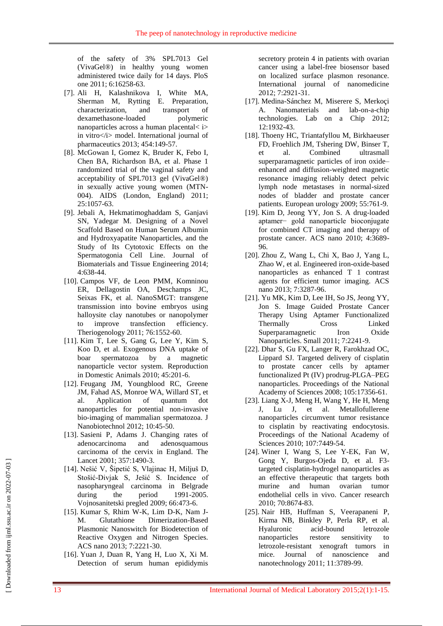of the safety of 3% SPL7013 Gel (VivaGel®) in healthy young women administered twice daily for 14 days. PloS one 2011; 6:16258-63.

- [7]. Ali H, Kalashnikova I, White MA, Sherman M, Rytting E. Preparation, characterization, and transport of dexamethasone-loaded polymeric nanoparticles across a human placental< i> in vitro</i> model. International journal of pharmaceutics 2013; 454:149-57.
- [8]. McGowan I, Gomez K, Bruder K, Febo I, Chen BA, Richardson BA, et al. Phase 1 randomized trial of the vaginal safety and acceptability of SPL7013 gel (VivaGel®) in sexually active young women (MTN-004). AIDS (London, England) 2011; 25:1057-63.
- [9]. Jebali A, Hekmatimoghaddam S, Ganjavi SN, Yadegar M. Designing of a Novel Scaffold Based on Human Serum Albumin and Hydroxyapatite Nanoparticles, and the Study of Its Cytotoxic Effects on the Spermatogonia Cell Line. Journal of Biomaterials and Tissue Engineering 2014; 4:638-44.
- [10]. Campos VF, de Leon PMM, Komninou ER, Dellagostin OA, Deschamps JC, Seixas FK, et al. NanoSMGT: transgene transmission into bovine embryos using halloysite clay nanotubes or nanopolymer to improve transfection efficiency. Theriogenology 2011; 76:1552-60.
- [11]. Kim T, Lee S, Gang G, Lee Y, Kim S, Koo D, et al. Exogenous DNA uptake of boar spermatozoa by a magnetic nanoparticle vector system. Reproduction in Domestic Animals 2010; 45:201-6.
- [12]. Feugang JM, Youngblood RC, Greene JM, Fahad AS, Monroe WA, Willard ST, et al. Application of quantum dot nanoparticles for potential non-invasive bio-imaging of mammalian spermatozoa. J Nanobiotechnol 2012; 10:45-50.
- [13]. Sasieni P, Adams J. Changing rates of adenocarcinoma and adenosquamous carcinoma of the cervix in England. The Lancet 2001; 357:1490-3.
- [14]. Nešić V, Šipetić S, Vlajinac H, Miljuš D, Stošić-Divjak S, Ješić S. Incidence of nasopharyngeal carcinoma in Belgrade during the period 1991-2005. Vojnosanitetski pregled 2009; 66:473-6.
- [15]. Kumar S, Rhim W-K, Lim D-K, Nam J-M. Glutathione Dimerization-Based Plasmonic Nanoswitch for Biodetection of Reactive Oxygen and Nitrogen Species. ACS nano 2013; 7:2221-30.
- [16]. Yuan J, Duan R, Yang H, Luo X, Xi M. Detection of serum human epididymis

secretory protein 4 in patients with ovarian cancer using a label-free biosensor based on localized surface plasmon resonance. International journal of nanomedicine 2012; 7:2921-31.

- [17]. Medina-Sánchez M, Miserere S, Merkoçi A. Nanomaterials and lab-on-a-chip technologies. Lab on a Chip 2012; 12:1932-43.
- [18]. Thoeny HC, Triantafyllou M, Birkhaeuser FD, Froehlich JM, Tshering DW, Binser T, et al. Combined ultrasmall superparamagnetic particles of iron oxide– enhanced and diffusion-weighted magnetic resonance imaging reliably detect pelvic lymph node metastases in normal-sized nodes of bladder and prostate cancer patients. European urology 2009; 55:761-9.
- [19]. Kim D, Jeong YY, Jon S. A drug-loaded aptamer− gold nanoparticle bioconjugate for combined CT imaging and therapy of prostate cancer. ACS nano 2010; 4:3689- 96.
- [20]. Zhou Z, Wang L, Chi X, Bao J, Yang L, Zhao W, et al. Engineered iron-oxide-based nanoparticles as enhanced T 1 contrast agents for efficient tumor imaging. ACS nano 2013; 7:3287-96.
- [21]. Yu MK, Kim D, Lee IH, So JS, Jeong YY, Jon S. Image Guided Prostate Cancer Therapy Using Aptamer Functionalized Thermally Cross Linked Superparamagnetic Iron Oxide Nanoparticles. Small 2011; 7:2241-9.
- [22]. Dhar S, Gu FX, Langer R, Farokhzad OC, Lippard SJ. Targeted delivery of cisplatin to prostate cancer cells by aptamer functionalized Pt (IV) prodrug-PLGA–PEG nanoparticles. Proceedings of the National Academy of Sciences 2008; 105:17356-61.
- [23]. Liang X-J, Meng H, Wang Y, He H, Meng J, Lu J, et al. Metallofullerene nanoparticles circumvent tumor resistance to cisplatin by reactivating endocytosis. Proceedings of the National Academy of Sciences 2010; 107:7449-54.
- [24]. Winer I, Wang S, Lee Y-EK, Fan W, Gong Y, Burgos-Ojeda D, et al. F3 targeted cisplatin-hydrogel nanoparticles as an effective therapeutic that targets both murine and human ovarian tumor endothelial cells in vivo. Cancer research 2010; 70:8674-83.
- [25]. Nair HB, Huffman S, Veerapaneni P, Kirma NB, Binkley P, Perla RP, et al. Hyaluronic acid-bound letrozole nanoparticles restore sensitivity to letrozole-resistant xenograft tumors in mice. Journal of nanoscience and nanotechnology 2011; 11:3789-99.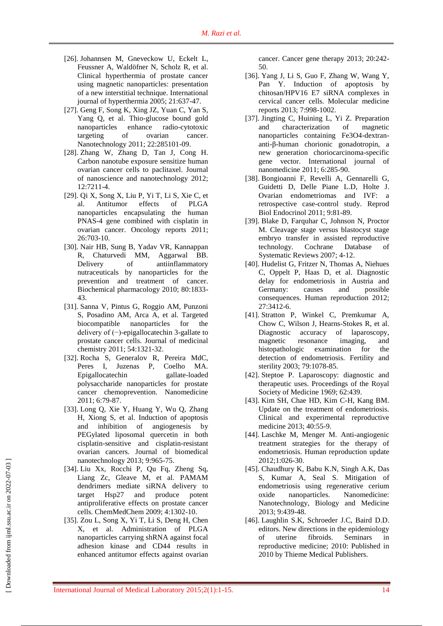- [26]. Johannsen M, Gneveckow U, Eckelt L, Feussner A, Waldöfner N, Scholz R, et al. Clinical hyperthermia of prostate cancer using magnetic nanoparticles: presentation of a new interstitial technique. International journal of hyperthermia 2005; 21:637-47.
- [27]. Geng F, Song K, Xing JZ, Yuan C, Yan S, Yang Q, et al. Thio-glucose bound gold nanoparticles enhance radio-cytotoxic targeting of ovarian cancer. Nanotechnology 2011; 22:285101-09.
- [28]. Zhang W, Zhang D, Tan J, Cong H. Carbon nanotube exposure sensitize human ovarian cancer cells to paclitaxel. Journal of nanoscience and nanotechnology 2012; 12:7211-4.
- [29]. Qi X, Song X, Liu P, Yi T, Li S, Xie C, et al. Antitumor effects of PLGA nanoparticles encapsulating the human PNAS-4 gene combined with cisplatin in ovarian cancer. Oncology reports 2011; 26:703-10.
- [30]. Nair HB, Sung B, Yadav VR, Kannappan R, Chaturvedi MM, Aggarwal BB. Delivery of antiinflammatory nutraceuticals by nanoparticles for the prevention and treatment of cancer. Biochemical pharmacology 2010; 80:1833- 43.
- [31]. Sanna V, Pintus G, Roggio AM, Punzoni S, Posadino AM, Arca A, et al. Targeted biocompatible nanoparticles for the delivery of (−)-epigallocatechin 3-gallate to prostate cancer cells. Journal of medicinal chemistry 2011; 54:1321-32.
- [32]. Rocha S, Generalov R, Pereira MdC, Peres I, Juzenas P, Coelho MA. Epigallocatechin gallate-loaded polysaccharide nanoparticles for prostate cancer chemoprevention. Nanomedicine 2011; 6:79-87.
- [33]. Long Q, Xie Y, Huang Y, Wu Q, Zhang H, Xiong S, et al. Induction of apoptosis and inhibition of angiogenesis by PEGylated liposomal quercetin in both cisplatin-sensitive and cisplatin-resistant ovarian cancers. Journal of biomedical nanotechnology 2013; 9:965-75.
- [34]. Liu Xx, Rocchi P, Qu Fq, Zheng Sq, Liang Zc, Gleave M, et al. PAMAM dendrimers mediate siRNA delivery to target Hsp27 and produce potent antiproliferative effects on prostate cancer cells. ChemMedChem 2009; 4:1302-10.
- [35]. Zou L, Song X, Yi T, Li S, Deng H, Chen X, et al. Administration of PLGA nanoparticles carrying shRNA against focal adhesion kinase and CD44 results in enhanced antitumor effects against ovarian

cancer. Cancer gene therapy 2013; 20:242- 50.

- [36]. Yang J, Li S, Guo F, Zhang W, Wang Y, Pan Y. Induction of apoptosis by chitosan/HPV16 E7 siRNA complexes in cervical cancer cells. Molecular medicine reports 2013; 7:998-1002.
- [37]. Jingting C, Huining L, Yi Z. Preparation and characterization of magnetic nanoparticles containing Fe3O4-dextrananti-β-human chorionic gonadotropin, a new generation choriocarcinoma-specific gene vector. International journal of nanomedicine 2011; 6:285-90.
- [38]. Bongioanni F, Revelli A, Gennarelli G, Guidetti D, Delle Piane L.D, Holte J. Ovarian endometriomas and IVF: a retrospective case-control study. Reprod Biol Endocrinol 2011; 9:81-89.
- [39]. Blake D, Farquhar C, Johnson N, Proctor M. Cleavage stage versus blastocyst stage embryo transfer in assisted reproductive technology. Cochrane Database of Systematic Reviews 2007; 4-12.
- [40]. Hudelist G, Fritzer N, Thomas A, Niehues C, Oppelt P, Haas D, et al. Diagnostic delay for endometriosis in Austria and Germany: causes and possible consequences. Human reproduction 2012; 27:3412-6.
- [41]. Stratton P, Winkel C, Premkumar A, Chow C, Wilson J, Hearns-Stokes R, et al. Diagnostic accuracy of laparoscopy, magnetic resonance imaging, and histopathologic examination for the detection of endometriosis. Fertility and sterility 2003; 79:1078-85.
- [42]. Steptoe P. Laparoscopy: diagnostic and therapeutic uses. Proceedings of the Royal Society of Medicine 1969; 62:439.
- [43]. Kim SH, Chae HD, Kim C-H, Kang BM. Update on the treatment of endometriosis. Clinical and experimental reproductive medicine 2013; 40:55-9.
- [44]. Laschke M, Menger M. Anti-angiogenic treatment strategies for the therapy of endometriosis. Human reproduction update 2012;1:026-30.
- [45]. Chaudhury K, Babu K.N, Singh A.K, Das S, Kumar A, Seal S. Mitigation of endometriosis using regenerative cerium oxide nanoparticles. Nanomedicine: Nanotechnology, Biology and Medicine 2013; 9:439-48.
- [46]. Laughlin S.K, Schroeder J.C, Baird D.D. editors. New directions in the epidemiology of uterine fibroids. Seminars in reproductive medicine; 2010: Published in 2010 by Thieme Medical Publishers.